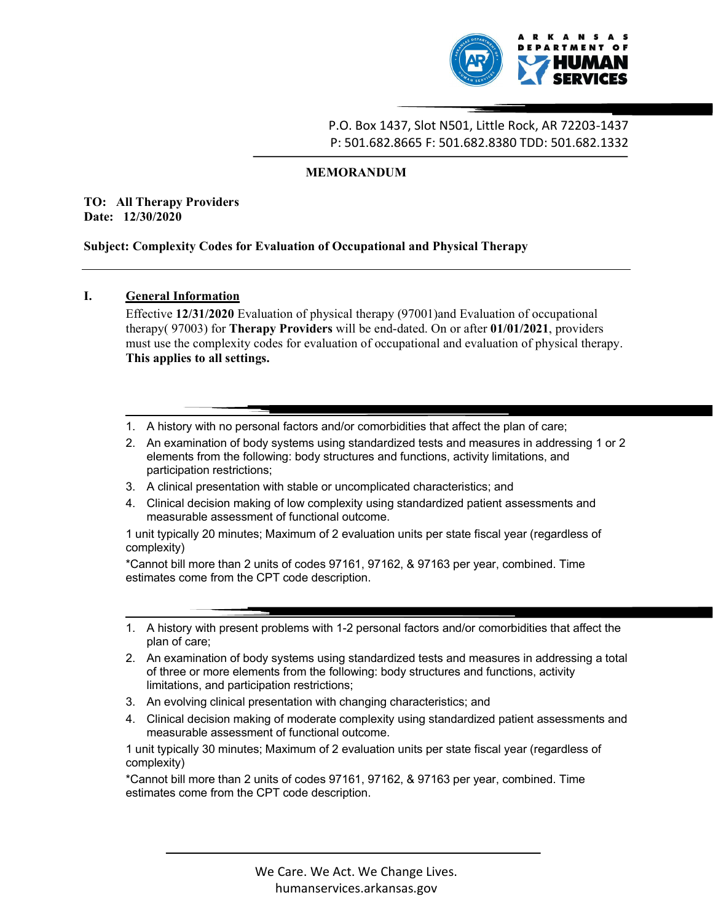

# MEMORANDUM

TO: All Therapy Providers Date: 12/30/2020

# Subject: Complexity Codes for Evaluation of Occupational and Physical Therapy

# I. General Information

Effective 12/31/2020 Evaluation of physical therapy (97001)and Evaluation of occupational therapy( $97003$ ) for **Therapy Providers** will be end-dated. On or after  $01/01/2021$ , providers must use the complexity codes for evaluation of occupational and evaluation of physical therapy. This applies to all settings.

- 1. A history with no personal factors and/or comorbidities that affect the plan of care;
- 2. An examination of body systems using standardized tests and measures in addressing 1 or 2 elements from the following: body structures and functions, activity limitations, and participation restrictions;
- 3. A clinical presentation with stable or uncomplicated characteristics; and
- 4. Clinical decision making of low complexity using standardized patient assessments and measurable assessment of functional outcome.

1 unit typically 20 minutes; Maximum of 2 evaluation units per state fiscal year (regardless of complexity)

\*Cannot bill more than 2 units of codes 97161, 97162, & 97163 per year, combined. Time estimates come from the CPT code description.

- 1. A history with present problems with 1-2 personal factors and/or comorbidities that affect the plan of care;
- The controller with 1-2 personal factors and/or comorbidities that affect the<br>dy systems using standardized tests and measures in addressing a total<br>einst from the following: body structures and functions, activity<br>ipation 2. An examination of body systems using standardized tests and measures in addressing a total of three or more elements from the following: body structures and functions, activity limitations, and participation restrictions;
- 3. An evolving clinical presentation with changing characteristics; and
- 4. Clinical decision making of moderate complexity using standardized patient assessments and measurable assessment of functional outcome.

1 unit typically 30 minutes; Maximum of 2 evaluation units per state fiscal year (regardless of complexity)

\*Cannot bill more than 2 units of codes 97161, 97162, & 97163 per year, combined. Time estimates come from the CPT code description.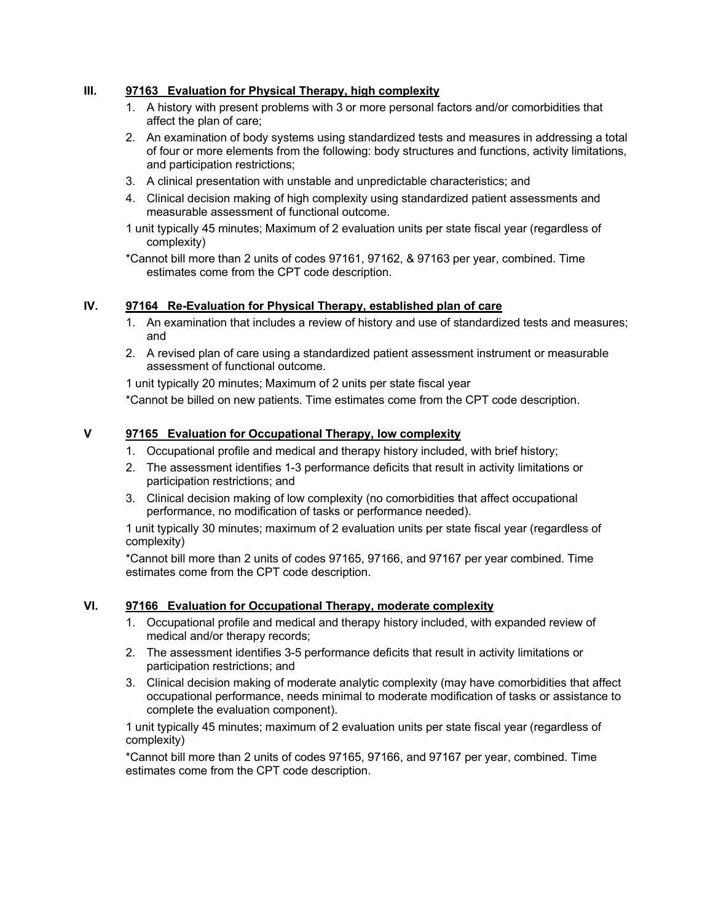# III. 97163 Evaluation for Physical Therapy, high complexity

- 1. A history with present problems with 3 or more personal factors and/or comorbidities that affect the plan of care;
- 2. An examination of body systems using standardized tests and measures in addressing a total of four or more elements from the following: body structures and functions, activity limitations, and participation restrictions;
- 3. A clinical presentation with unstable and unpredictable characteristics; and
- 4. Clinical decision making of high complexity using standardized patient assessments and measurable assessment of functional outcome.
- 1 unit typically 45 minutes; Maximum of 2 evaluation units per state fiscal year (regardless of complexity)
- \*Cannot bill more than 2 units of codes 97161, 97162, & 97163 per year, combined. Time estimates come from the CPT code description.

### IV. 97164 Re-Evaluation for Physical Therapy, established plan of care

- 1. An examination that includes a review of history and use of standardized tests and measures; and
- 2. A revised plan of care using a standardized patient assessment instrument or measurable assessment of functional outcome.

1 unit typically 20 minutes; Maximum of 2 units per state fiscal year

\*Cannot be billed on new patients. Time estimates come from the CPT code description.

### V 97165 Evaluation for Occupational Therapy, low complexity

- 1. Occupational profile and medical and therapy history included, with brief history;
- 2. The assessment identifies 1-3 performance deficits that result in activity limitations or participation restrictions; and
- 3. Clinical decision making of low complexity (no comorbidities that affect occupational performance, no modification of tasks or performance needed).

1 unit typically 30 minutes; maximum of 2 evaluation units per state fiscal year (regardless of complexity)

\*Cannot bill more than 2 units of codes 97165, 97166, and 97167 per year combined. Time estimates come from the CPT code description.

#### VI. 97166 Evaluation for Occupational Therapy, moderate complexity

- 1. Occupational profile and medical and therapy history included, with expanded review of medical and/or therapy records;
- 2. The assessment identifies 3-5 performance deficits that result in activity limitations or participation restrictions; and
- 3. Clinical decision making of moderate analytic complexity (may have comorbidities that affect occupational performance, needs minimal to moderate modification of tasks or assistance to complete the evaluation component).

1 unit typically 45 minutes; maximum of 2 evaluation units per state fiscal year (regardless of complexity)

\*Cannot bill more than 2 units of codes 97165, 97166, and 97167 per year, combined. Time estimates come from the CPT code description.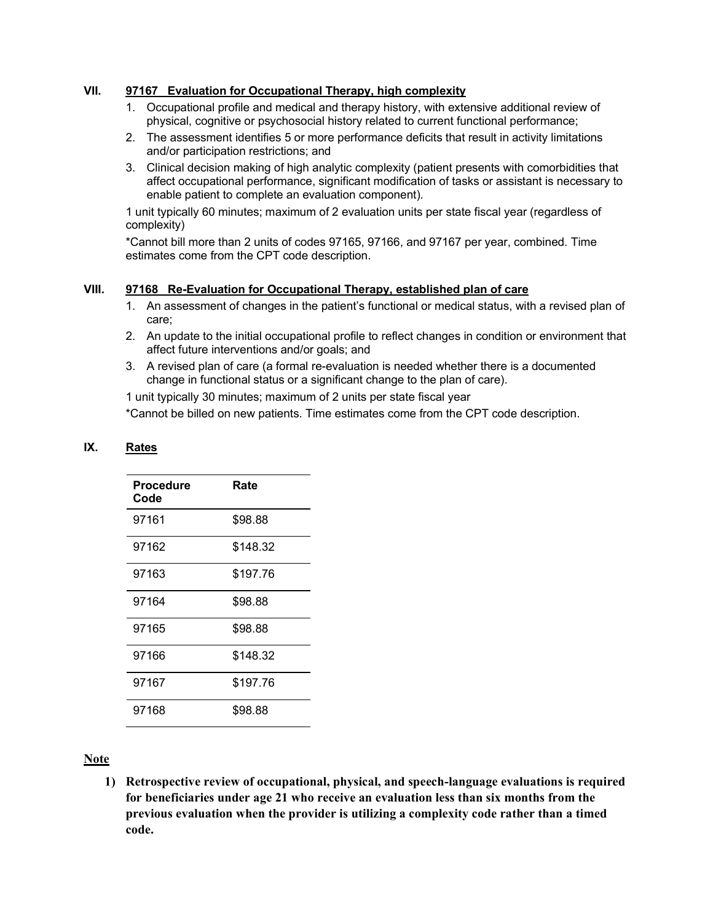# VII. 97167 Evaluation for Occupational Therapy, high complexity

- 1. Occupational profile and medical and therapy history, with extensive additional review of physical, cognitive or psychosocial history related to current functional performance;
- 2. The assessment identifies 5 or more performance deficits that result in activity limitations and/or participation restrictions; and
- 3. Clinical decision making of high analytic complexity (patient presents with comorbidities that affect occupational performance, significant modification of tasks or assistant is necessary to enable patient to complete an evaluation component).

1 unit typically 60 minutes; maximum of 2 evaluation units per state fiscal year (regardless of complexity)

\*Cannot bill more than 2 units of codes 97165, 97166, and 97167 per year, combined. Time estimates come from the CPT code description.

# VIII. 97168 Re-Evaluation for Occupational Therapy, established plan of care

- 1. An assessment of changes in the patient's functional or medical status, with a revised plan of care;
- 2. An update to the initial occupational profile to reflect changes in condition or environment that affect future interventions and/or goals; and
- 3. A revised plan of care (a formal re-evaluation is needed whether there is a documented change in functional status or a significant change to the plan of care).

1 unit typically 30 minutes; maximum of 2 units per state fiscal year

\*Cannot be billed on new patients. Time estimates come from the CPT code description.

### IX. Rates

| <b>Procedure</b><br>Code | Rate     |
|--------------------------|----------|
| 97161                    | \$98.88  |
| 97162                    | \$148.32 |
| 97163                    | \$197.76 |
| 97164                    | \$98.88  |
| 97165                    | \$98.88  |
| 97166                    | \$148.32 |
| 97167                    | \$197.76 |
| 97168                    | \$98.88  |

# Note

1) Retrospective review of occupational, physical, and speech-language evaluations is required for beneficiaries under age 21 who receive an evaluation less than six months from the previous evaluation when the provider is utilizing a complexity code rather than a timed code.